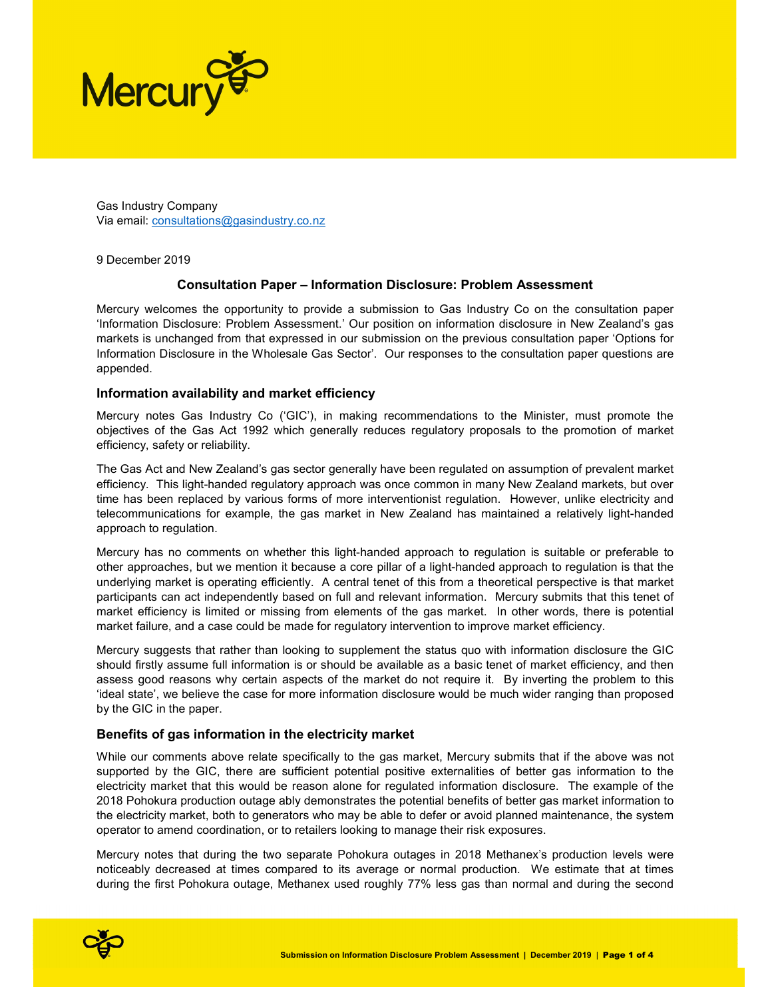

Gas Industry Company Via email: consultations@gasindustry.co.nz

9 December 2019

# Consultation Paper – Information Disclosure: Problem Assessment

Mercury welcomes the opportunity to provide a submission to Gas Industry Co on the consultation paper 'Information Disclosure: Problem Assessment.' Our position on information disclosure in New Zealand's gas markets is unchanged from that expressed in our submission on the previous consultation paper 'Options for Information Disclosure in the Wholesale Gas Sector'. Our responses to the consultation paper questions are appended.

## Information availability and market efficiency

Mercury notes Gas Industry Co ('GIC'), in making recommendations to the Minister, must promote the objectives of the Gas Act 1992 which generally reduces regulatory proposals to the promotion of market efficiency, safety or reliability.

The Gas Act and New Zealand's gas sector generally have been regulated on assumption of prevalent market efficiency. This light-handed regulatory approach was once common in many New Zealand markets, but over time has been replaced by various forms of more interventionist regulation. However, unlike electricity and telecommunications for example, the gas market in New Zealand has maintained a relatively light-handed approach to regulation.

Mercury has no comments on whether this light-handed approach to regulation is suitable or preferable to other approaches, but we mention it because a core pillar of a light-handed approach to regulation is that the underlying market is operating efficiently. A central tenet of this from a theoretical perspective is that market participants can act independently based on full and relevant information. Mercury submits that this tenet of market efficiency is limited or missing from elements of the gas market. In other words, there is potential market failure, and a case could be made for regulatory intervention to improve market efficiency.

Mercury suggests that rather than looking to supplement the status quo with information disclosure the GIC should firstly assume full information is or should be available as a basic tenet of market efficiency, and then assess good reasons why certain aspects of the market do not require it. By inverting the problem to this 'ideal state', we believe the case for more information disclosure would be much wider ranging than proposed by the GIC in the paper.

## Benefits of gas information in the electricity market

While our comments above relate specifically to the gas market, Mercury submits that if the above was not supported by the GIC, there are sufficient potential positive externalities of better gas information to the electricity market that this would be reason alone for regulated information disclosure. The example of the 2018 Pohokura production outage ably demonstrates the potential benefits of better gas market information to the electricity market, both to generators who may be able to defer or avoid planned maintenance, the system operator to amend coordination, or to retailers looking to manage their risk exposures.

Mercury notes that during the two separate Pohokura outages in 2018 Methanex's production levels were noticeably decreased at times compared to its average or normal production. We estimate that at times during the first Pohokura outage, Methanex used roughly 77% less gas than normal and during the second

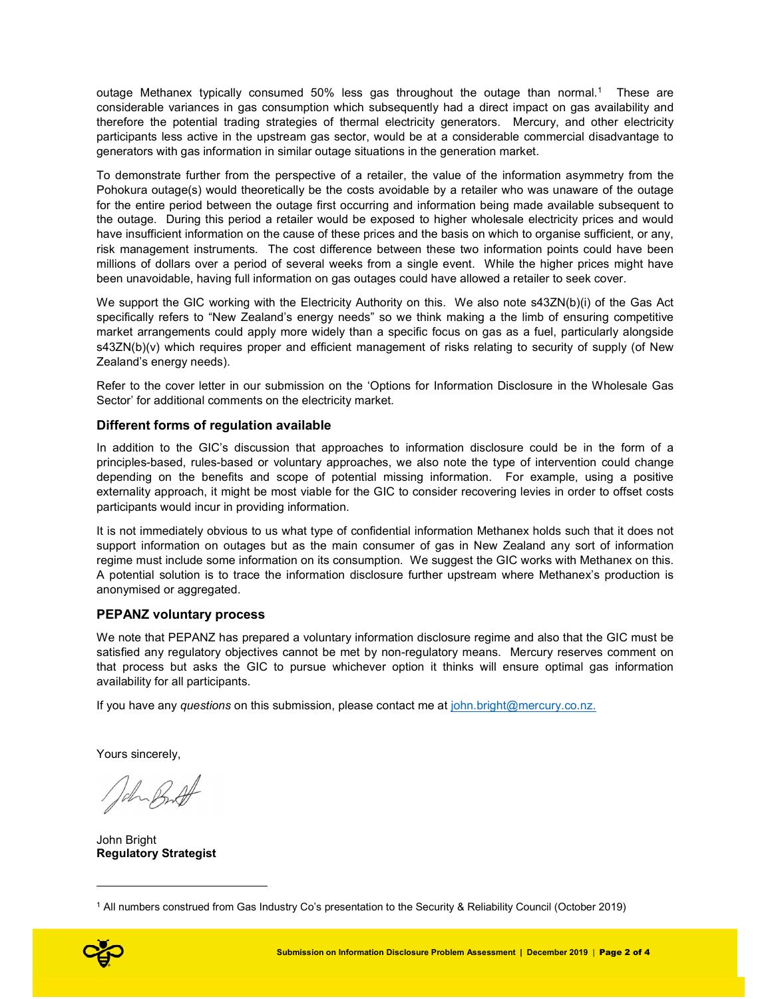outage Methanex typically consumed 50% less gas throughout the outage than normal.<sup>1</sup> These are considerable variances in gas consumption which subsequently had a direct impact on gas availability and therefore the potential trading strategies of thermal electricity generators. Mercury, and other electricity participants less active in the upstream gas sector, would be at a considerable commercial disadvantage to generators with gas information in similar outage situations in the generation market.

To demonstrate further from the perspective of a retailer, the value of the information asymmetry from the Pohokura outage(s) would theoretically be the costs avoidable by a retailer who was unaware of the outage for the entire period between the outage first occurring and information being made available subsequent to the outage. During this period a retailer would be exposed to higher wholesale electricity prices and would have insufficient information on the cause of these prices and the basis on which to organise sufficient, or any, risk management instruments. The cost difference between these two information points could have been millions of dollars over a period of several weeks from a single event. While the higher prices might have been unavoidable, having full information on gas outages could have allowed a retailer to seek cover.

We support the GIC working with the Electricity Authority on this. We also note s43ZN(b)(i) of the Gas Act specifically refers to "New Zealand's energy needs" so we think making a the limb of ensuring competitive market arrangements could apply more widely than a specific focus on gas as a fuel, particularly alongside s43ZN(b)(v) which requires proper and efficient management of risks relating to security of supply (of New Zealand's energy needs).

Refer to the cover letter in our submission on the 'Options for Information Disclosure in the Wholesale Gas Sector' for additional comments on the electricity market.

## Different forms of regulation available

In addition to the GIC's discussion that approaches to information disclosure could be in the form of a principles-based, rules-based or voluntary approaches, we also note the type of intervention could change depending on the benefits and scope of potential missing information. For example, using a positive externality approach, it might be most viable for the GIC to consider recovering levies in order to offset costs participants would incur in providing information.

It is not immediately obvious to us what type of confidential information Methanex holds such that it does not support information on outages but as the main consumer of gas in New Zealand any sort of information regime must include some information on its consumption. We suggest the GIC works with Methanex on this. A potential solution is to trace the information disclosure further upstream where Methanex's production is anonymised or aggregated.

## PEPANZ voluntary process

We note that PEPANZ has prepared a voluntary information disclosure regime and also that the GIC must be satisfied any regulatory objectives cannot be met by non-regulatory means. Mercury reserves comment on that process but asks the GIC to pursue whichever option it thinks will ensure optimal gas information availability for all participants.

If you have any questions on this submission, please contact me at john.bright@mercury.co.nz.

Yours sincerely,

John Bright Regulatory Strategist

<sup>1</sup> All numbers construed from Gas Industry Co's presentation to the Security & Reliability Council (October 2019)



ł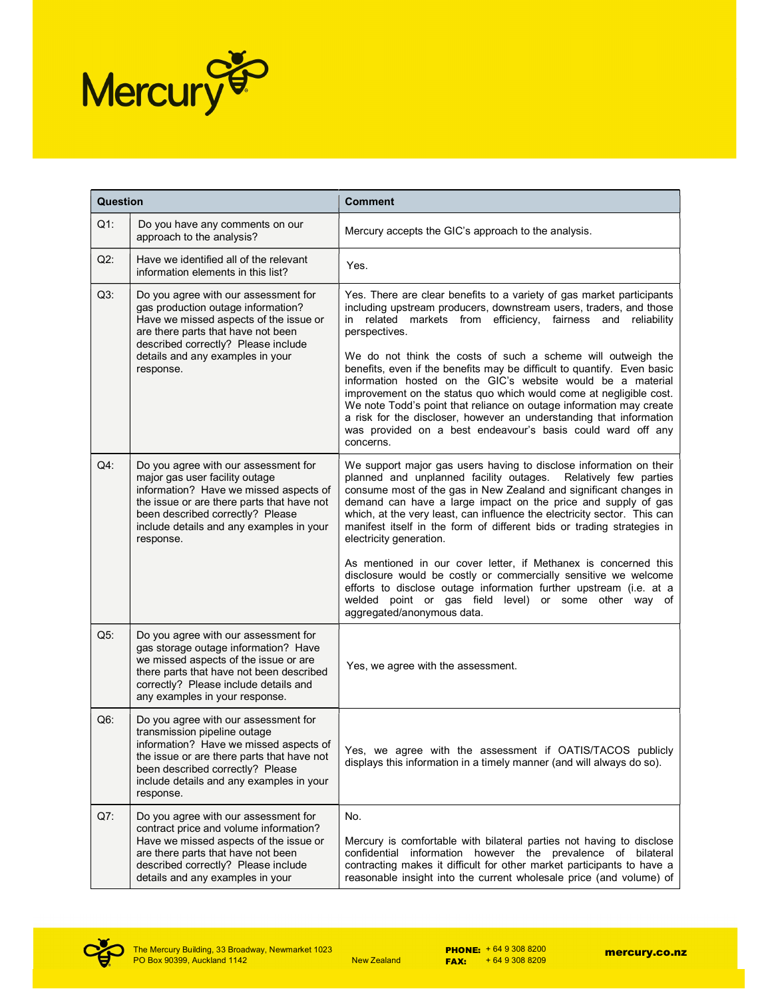

| Question |                                                                                                                                                                                                                                                             | <b>Comment</b>                                                                                                                                                                                                                                                                                                                                                                                                                                                                                                                                                                                                                                                                                                                                                    |
|----------|-------------------------------------------------------------------------------------------------------------------------------------------------------------------------------------------------------------------------------------------------------------|-------------------------------------------------------------------------------------------------------------------------------------------------------------------------------------------------------------------------------------------------------------------------------------------------------------------------------------------------------------------------------------------------------------------------------------------------------------------------------------------------------------------------------------------------------------------------------------------------------------------------------------------------------------------------------------------------------------------------------------------------------------------|
| $Q1$ :   | Do you have any comments on our<br>approach to the analysis?                                                                                                                                                                                                | Mercury accepts the GIC's approach to the analysis.                                                                                                                                                                                                                                                                                                                                                                                                                                                                                                                                                                                                                                                                                                               |
| $Q2$ :   | Have we identified all of the relevant<br>information elements in this list?                                                                                                                                                                                | Yes.                                                                                                                                                                                                                                                                                                                                                                                                                                                                                                                                                                                                                                                                                                                                                              |
| $Q3$ :   | Do you agree with our assessment for<br>gas production outage information?<br>Have we missed aspects of the issue or<br>are there parts that have not been<br>described correctly? Please include<br>details and any examples in your<br>response.          | Yes. There are clear benefits to a variety of gas market participants<br>including upstream producers, downstream users, traders, and those<br>in related markets from efficiency, fairness<br>and reliability<br>perspectives.<br>We do not think the costs of such a scheme will outweigh the<br>benefits, even if the benefits may be difficult to quantify. Even basic<br>information hosted on the GIC's website would be a material<br>improvement on the status quo which would come at negligible cost.<br>We note Todd's point that reliance on outage information may create<br>a risk for the discloser, however an understanding that information<br>was provided on a best endeavour's basis could ward off any<br>concerns.                         |
| $Q4$ :   | Do you agree with our assessment for<br>major gas user facility outage<br>information? Have we missed aspects of<br>the issue or are there parts that have not<br>been described correctly? Please<br>include details and any examples in your<br>response. | We support major gas users having to disclose information on their<br>planned and unplanned facility outages.<br>Relatively few parties<br>consume most of the gas in New Zealand and significant changes in<br>demand can have a large impact on the price and supply of gas<br>which, at the very least, can influence the electricity sector. This can<br>manifest itself in the form of different bids or trading strategies in<br>electricity generation.<br>As mentioned in our cover letter, if Methanex is concerned this<br>disclosure would be costly or commercially sensitive we welcome<br>efforts to disclose outage information further upstream (i.e. at a<br>welded point or gas field level) or some other way of<br>aggregated/anonymous data. |
| $Q5$ :   | Do you agree with our assessment for<br>gas storage outage information? Have<br>we missed aspects of the issue or are<br>there parts that have not been described<br>correctly? Please include details and<br>any examples in your response.                | Yes, we agree with the assessment.                                                                                                                                                                                                                                                                                                                                                                                                                                                                                                                                                                                                                                                                                                                                |
| $Q6$ :   | Do you agree with our assessment for<br>transmission pipeline outage<br>information? Have we missed aspects of<br>the issue or are there parts that have not<br>been described correctly? Please<br>include details and any examples in your<br>response.   | Yes, we agree with the assessment if OATIS/TACOS publicly<br>displays this information in a timely manner (and will always do so).                                                                                                                                                                                                                                                                                                                                                                                                                                                                                                                                                                                                                                |
| Q7:      | Do you agree with our assessment for<br>contract price and volume information?<br>Have we missed aspects of the issue or<br>are there parts that have not been<br>described correctly? Please include<br>details and any examples in your                   | No.<br>Mercury is comfortable with bilateral parties not having to disclose<br>confidential information however the prevalence of bilateral<br>contracting makes it difficult for other market participants to have a<br>reasonable insight into the current wholesale price (and volume) of                                                                                                                                                                                                                                                                                                                                                                                                                                                                      |